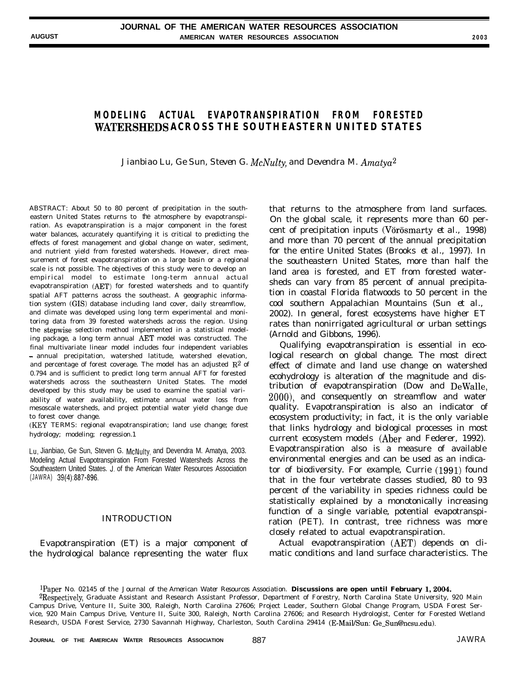# **MODELING ACTUAL EVAPOTRANSPIRATION FROM FORESTED WATERSmDS ACROSS THE SOUTHEASTERN UNITED STATES**

*Jianbiao Lu, Ge Sun, Steven G. McNulty, and Devendra M. Amatya2*

ABSTRACT: About 50 to 80 percent of precipitation in the southeastern United States returns to the atmosphere by evapotranspiration. As evapotranspiration is a major component in the forest water balances, accurately quantifying it is critical to predicting the effects of forest management and global change on water, sediment, and nutrient yield from forested watersheds. However, direct measurement of forest evapotranspiration on a large basin or a regional scale is not possible. The objectives of this study were to develop an empirical model to estimate long-term annual actual evapotranspiration (AET) for forested watersheds and to quantify spatial AFT patterns across the southeast. A geographic information system (GIS) database including land cover, daily streamflow, and climate was developed using long term experimental and monitoring data from 39 forested watersheds across the region. Using the stepwise selection method implemented in a statistical modeling package, a long term annual AFT model was constructed. The final multivariate linear model includes four independent variables - annual precipitation, watershed latitude, watershed elevation, and percentage of forest coverage. The model has an adjusted  $\mathbb{R}^2$  of 0.794 and is sufficient to predict long term annual AFT for forested watersheds across the southeastern United States. The model developed by this study may be used to examine the spatial variability of water availability, estimate annual water loss from mesoscale watersheds, and project potential water yield change due to forest cover change.

(RFY TERMS: regional evapotranspiration; land use change; forest hydrology; modeling; regression.1

Lu, Jianbiao, Ge Sun, Steven G. McNulty, and Devendra M. Amatya, 2003. Modeling Actual Evapotranspiration From Forested Watersheds Across the Southeastern United States. J. of the American Water Resources Association (JAWRA) 39(4):887-896.

## INTRODUCTION

Evapotranspiration (ET) is a major component of the hydrological balance representing the water flux

that returns to the atmosphere from land surfaces. On the global scale, it represents more than 60 percent of precipitation inputs (Vörösmarty *et al.,* 1998) and more than 70 percent of the annual precipitation for the entire United States (Brooks *et al.,* 1997). In the southeastern United States, more than half the land area is forested, and ET from forested watersheds can vary from 85 percent of annual precipitation in coastal Florida flatwoods to 50 percent in the cool southern Appalachian Mountains (Sun *et al.,* 2002). In general, forest ecosystems have higher ET rates than nonirrigated agricultural or urban settings (Arnold and Gibbons, 1996).

Qualifying evapotranspiration is essential in ecological research on global change. The most direct effect of climate and land use change on watershed ecohydrology is alteration of the magnitude and distribution of evapotranspiration (Dow and DeWalle,  $2000$ , and consequently on streamflow and water quality. Evapotranspiration is also an indicator of ecosystem productivity; in fact, it is the only variable that links hydrology and biological processes in most current ecosystem models (Aber and Federer, 1992). Evapotranspiration also is a measure of available environmental energies and can be used as an indicator of biodiversity. For example, Currie (1991) found that in the four vertebrate classes studied, 80 to 93 percent of the variability in species richness could be statistically explained by a monotonically increasing function of a single variable, potential evapotranspiration (PET). In contrast, tree richness was more closely related to actual evapotranspiration.

Actual evapotranspiration (AET) depends on climatic conditions and land surface characteristics. The

'Paper *No.* 02145 of the *Journal of the American Water Resources Association.* **Discussions are open until February 1,2004.** <sup>2</sup>Respectively, Graduate Assistant and Research Assistant Professor, Department of Forestry, North Carolina State University, 920 Main Campus Drive, Venture II, Suite 300, Raleigh, North Carolina 27606; Project Leader, Southern Global Change Program, USDA Forest Ser-

vice, 920 Main Campus Drive, Venture II, Suite 300, Raleigh, North Carolina 27606; and Research Hydrologist, Center for Forested Wetland Research, USDA Forest Service, 2730 Savannah Highway, Charleston, South Carolina 29414 (E-Mail/Sun: Ge-Sun@nesu.edu).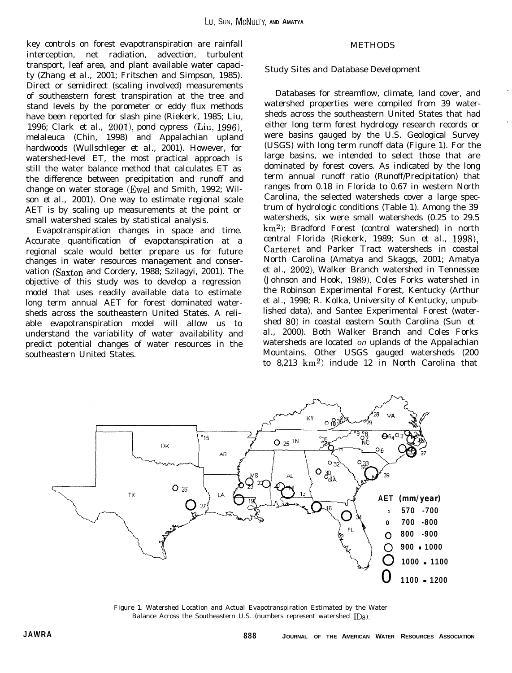key controls on forest evapotranspiration are rainfall interception, net radiation, advection, turbulent transport, leaf area, and plant available water capacity (Zhang *et al.,* 2001; Fritschen and Simpson, 1985). Direct or semidirect (scaling involved) measurements of southeastern forest transpiration at the tree and stand levels by the porometer or eddy flux methods have been reported for slash pine (Riekerk, 1985; Liu, 1996; Clark *et al., 2001*), pond cypress (Liu, 1996), melaleuca (Chin, 1998) and Appalachian upland hardwoods (Wullschleger *et al.,* 2001). However, for watershed-level ET, the most practical approach is still the water balance method that calculates ET as the difference between precipitation and runoff and change on water storage (Ewe1 and Smith, 1992; Wilson *et al.,* 2001). One way to estimate regional scale AET is by scaling up measurements at the point or small watershed scales by statistical analysis.

Evapotranspiration changes in space and time. Accurate quantification of evapotanspiration at a regional scale would better prepare us for future changes in water resources management and conservation (Saxton and Cordery, 1988; Szilagyi, 2001). The objective of this study was to develop a regression model that uses readily available data to estimate long term annual AET for forest dominated watersheds across the southeastern United States. A reliable evapotranspiration model will allow us to understand the variability of water availability and predict potential changes of water resources in the southeastern United States.

## METHODS

## *Study Sites and Database Development*

Databases for streamflow, climate, land cover, and watershed properties were compiled from 39 watersheds across the southeastern United States that had either long term forest hydrology research records or were basins gauged by the U.S. Geological Survey (USGS) with long term runoff data (Figure 1). For the large basins, we intended to select those that are dominated by forest covers. As indicated by the long term annual runoff ratio (Runoff/Precipitation) that ranges from 0.18 in Florida to 0.67 in western North Carolina, the selected watersheds cover a large spectrum of hydrologic conditions (Table 1). Among the 39 watersheds, six were small watersheds (0.25 to 29.5 km2): Bradford Forest (control watershed) in north central Florida (Riekerk, 1989; Sun et al., 1998), Carteret and Parker Tract watersheds in coastal North Carolina (Amatya and Skaggs, 2001; Amatya *et al.,* 2002), Walker Branch watershed in Tennessee (Johnson and Hook, 1989), Coles Forks watershed in the Robinson Experimental Forest, Kentucky (Arthur *et al.,* 1998; R. Kolka, University of Kentucky, unpublished data), and Santee Experimental Forest (watershed 80) in coastal eastern South Carolina (Sun *et al.,* 2000). Both Walker Branch and Coles Forks watersheds are located *on* uplands of the Appalachian Mountains. Other USGS gauged watersheds (200 to  $8.213 \text{ km}^2$ ) include 12 in North Carolina that



Figure 1. Watershed Location and Actual Evapotranspiration Estimated by the Water Balance Across the Southeastern U.S. (numbers represent watershed IDS).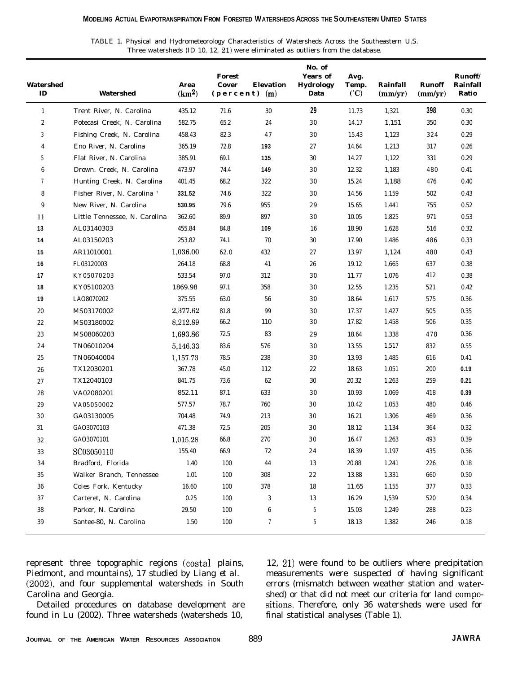|                                                                                 |  |  | TABLE 1. Physical and Hydrometeorology Characteristics of Watersheds Across the Southeastern U.S. |  |
|---------------------------------------------------------------------------------|--|--|---------------------------------------------------------------------------------------------------|--|
| Three watersheds (ID 10, 12, 21) were eliminated as outliers from the database. |  |  |                                                                                                   |  |

| Watershed<br>ID   | Watershed                     | Area<br>(km <sup>2</sup> ) | <b>Forest</b><br>Cover<br>$(\textbf{percent})$ (m) | <b>Elevation</b> | No. of<br>Years of<br><b>Hydrology</b><br>Data | Avg.<br>Temp.<br>(°C) | Rainfall<br>(mm/yr) | <b>Runoff</b><br>(mm/yr) | <b>Runoff</b> /<br>Rainfall<br>Ratio |
|-------------------|-------------------------------|----------------------------|----------------------------------------------------|------------------|------------------------------------------------|-----------------------|---------------------|--------------------------|--------------------------------------|
| $\mathbf{1}$      | Trent River, N. Carolina      | 435.12                     | 71.6                                               | 30               | 29                                             | 11.73                 | 1,321               | 398                      | 0.30                                 |
| $\boldsymbol{2}$  | Potecasi Creek, N. Carolina   | 582.75                     | 65.2                                               | 24               | $30\,$                                         | 14.17                 | 1,151               | 350                      | 0.30                                 |
| 3                 | Fishing Creek, N. Carolina    | 458.43                     | 82.3                                               | 47               | $30\,$                                         | 15.43                 | 1,123               | 324                      | 0.29                                 |
| 4                 | Eno River, N. Carolina        | 365.19                     | 72.8                                               | 193              | 27                                             | 14.64                 | 1,213               | 317                      | 0.26                                 |
| 5                 | Flat River, N. Carolina       | 385.91                     | 69.1                                               | 135              | 30                                             | 14.27                 | 1,122               | 331                      | 0.29                                 |
| 6                 | Drown. Creek, N. Carolina     | 473.97                     | 74.4                                               | 149              | $30\,$                                         | 12.32                 | 1,183               | 480                      | 0.41                                 |
| 7                 | Hunting Creek, N. Carolina    | 401.45                     | 68.2                                               | 322              | $30\,$                                         | 15.24                 | 1,188               | 476                      | 0.40                                 |
| 8                 | Fisher River, N. Carolina '   | 331.52                     | 74.6                                               | 322              | $30\,$                                         | 14.56                 | 1,159               | 502                      | 0.43                                 |
| 9                 | New River, N. Carolina        | 530.95                     | 79.6                                               | 955              | $2\,9$                                         | 15.65                 | 1,441               | 755                      | 0.52                                 |
| 11                | Little Tennessee, N. Carolina | 362.60                     | 89.9                                               | 897              | $30\,$                                         | 10.05                 | 1,825               | 971                      | 0.53                                 |
| 13                | AL03140303                    | 455.84                     | 84.8                                               | 109              | 16                                             | 18.90                 | 1,628               | 516                      | $0.32\,$                             |
| 14                | AL03150203                    | 253.82                     | 74.1                                               | 70               | $30\,$                                         | 17.90                 | 1,486               | 486                      | 0.33                                 |
| 15                | AR11010001                    | 1,036.00                   | 62.0                                               | 432              | $27\,$                                         | 13.97                 | 1,124               | 480                      | 0.43                                 |
| 16                | FL03120003                    | 264.18                     | 68.8                                               | 41               | $26\,$                                         | 19.12                 | 1,665               | 637                      | 0.38                                 |
| 17                | KY05070203                    | 533.54                     | 97.0                                               | 312              | $30\,$                                         | 11.77                 | 1,076               | 412                      | 0.38                                 |
| 18                | KY05100203                    | 1869.98                    | 97.1                                               | 358              | $30\,$                                         | 12.55                 | 1,235               | 521                      | 0.42                                 |
| 19                | LAO8070202                    | 375.55                     | 63.0                                               | 56               | 30                                             | 18.64                 | 1,617               | 575                      | 0.36                                 |
| $20\,$            | MS03170002                    | 2,377.62                   | 81.8                                               | 99               | $30\,$                                         | 17.37                 | 1,427               | 505                      | 0.35                                 |
| $22\,$            | MS03180002                    | 8,212.89                   | 66.2                                               | 110              | 30                                             | 17.82                 | 1,458               | 506                      | 0.35                                 |
| 23                | MS08060203                    | 1,693.86                   | 72.5                                               | 83               | $2\,9$                                         | 18.64                 | 1,338               | 478                      | 0.36                                 |
| 24                | TN06010204                    | 5,146.33                   | 83.6                                               | 576              | $30\,$                                         | 13.55                 | 1,517               | 832                      | 0.55                                 |
| 25                | TN06040004                    | 1,157.73                   | 78.5                                               | 238              | $30\,$                                         | 13.93                 | 1,485               | 616                      | 0.41                                 |
| 26                | TX12030201                    | 367.78                     | 45.0                                               | 112              | $22\,$                                         | 18.63                 | 1,051               | 200                      | 0.19                                 |
| 27                | TX12040103                    | 841.75                     | 73.6                                               | 62               | 30                                             | 20.32                 | 1,263               | 259                      | 0.21                                 |
| $\rm 28$          | VA02080201                    | 852.11                     | 87.1                                               | 633              | 30                                             | 10.93                 | 1,069               | 418                      | 0.39                                 |
| $\boldsymbol{29}$ | VA05050002                    | 577.57                     | 78.7                                               | 760              | 30                                             | 10.42                 | 1,053               | 480                      | 0.46                                 |
| 30                | GA03130005                    | 704.48                     | 74.9                                               | 213              | 30                                             | 16.21                 | 1,306               | 469                      | 0.36                                 |
| 31                | GA03070103                    | 471.38                     | 72.5                                               | 205              | 30                                             | 18.12                 | 1,134               | 364                      | 0.32                                 |
| 32                | GA03070101                    | 1,015.28                   | 66.8                                               | 270              | 30                                             | 16.47                 | 1,263               | 493                      | 0.39                                 |
| $33\,$            | SC03050110                    | 155.40                     | 66.9                                               | 72               | 24                                             | 18.39                 | 1,197               | 435                      | $0.36\,$                             |
| 34                | Bradford, Florida             | 1.40                       | 100                                                | 44               | 13                                             | 20.88                 | 1,241               | 226                      | 0.18                                 |
| 35                | Walker Branch, Tennessee      | 1.01                       | 100                                                | 308              | 22                                             | 13.88                 | 1,331               | 660                      | 0.50                                 |
| 36                | Coles Fork, Kentucky          | 16.60                      | 100                                                | 378              | 18                                             | 11.65                 | 1,155               | 377                      | 0.33                                 |
| 37                | Carteret, N. Carolina         | 0.25                       | 100                                                | 3                | 13                                             | 16.29                 | 1,539               | 520                      | 0.34                                 |
| 38                | Parker, N. Carolina           | 29.50                      | 100                                                | 6                | $\sqrt{5}$                                     | 15.03                 | 1,249               | 288                      | 0.23                                 |
| 39                | Santee-80, N. Carolina        | 1.50                       | 100                                                | 7                | $\mathbf{5}$                                   | 18.13                 | 1,382               | 246                      | 0.18                                 |

represent three topographic regions (costal plains, 12, 21) were found to be outliers where precipitation Piedmont, and mountains), 17 studied by Liang *et al.* measurements were suspected of having significant (2002), and four supplemental watersheds in South errors (mismatch between weather station and water-(2002), and four supplemental watersheds in South errors (mismatch between weather station and water-<br>Carolina and Georgia. external water-shed) or that did not meet our criteria for land compo-

found in Lu  $(2002)$ . Three watersheds (watersheds 10,

shed) or that did not meet our criteria for land compo-Detailed procedures on database development are sitions. Therefore, only 36 watersheds were used for und in Lu (2002). Three watersheds (watersheds 10, final statistical analyses (Table 1).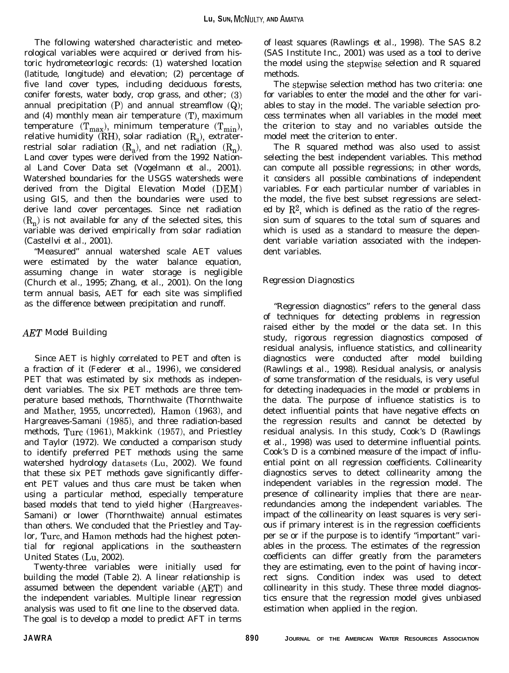The following watershed characteristic and meteorological variables were acquired or derived from historic hydrometeorlogic records: (1) watershed location (latitude, longitude) and elevation; (2) percentage of five land cover types, including deciduous forests, conifer forests, water body, crop grass, and other; (3) annual precipitation  $(P)$  and annual streamflow  $(Q)$ ; and  $(4)$  monthly mean air temperature  $(T)$ , maximum temperature  $(T_{\text{max}})$ , minimum temperature  $(T_{\text{min}})$ relative humidity (RH), solar radiation  $(R_{s})$ , extraterrestrial solar radiation  $(R_a)$ , and net radiation  $(R_n)$ . Land cover types were derived from the 1992 National Land Cover Data set (Vogelmann *et al., 2001).* Watershed boundaries for the USGS watersheds were derived from the Digital Elevation Model (DEM) using GIS, and then the boundaries were used to derive land cover percentages. Since net radiation  $(R_n)$  is not available for any of the selected sites, this variable was derived empirically from solar radiation (Castellvi *et al.,* 2001).

"Measured" annual watershed scale AET values were estimated by the water balance equation, assuming change in water storage is negligible (Church et al., 1995; Zhang, *et al.,* 2001). On the long term annual basis, AET for each site was simplified as the difference between precipitation and runoff.

# *ALZT Model Building*

Since AET is highly correlated to PET and often is a fraction of it (Federer et al., 1996), we considered PET that was estimated by six methods as independent variables. The six PET methods are three temperature based methods, Thornthwaite (Thornthwaite and Mather, 1955, uncorrected), Hamon (1963), and Hargreaves-Samani (1985), and three radiation-based methods, Turc (1961), Makkink (1957), and Priestley and Taylor (1972). We conducted a comparison study to identify preferred PET methods using the same watershed hydrology datasets (Lu, 2002). We found that these six PET methods gave significantly different PET values and thus care must be taken when using a particular method, especially temperature based models that tend to yield higher (Hargreaves-Samani) or lower (Thornthwaite) annual estimates than others. We concluded that the Priestley and Taylor, Turc, and Hamon methods had the highest potential for regional applications in the southeastern United States (Lu, 2002).

Twenty-three variables were initially used for building the model (Table 2). A linear relationship is assumed between the dependent variable (AET) and the independent variables. Multiple linear regression analysis was used to fit one line to the observed data. The goal is to develop a model to predict AFT in terms

of least squares (Rawlings *et al., 1998).* The SAS 8.2 (SAS Institute Inc., 2001) was used as a tool to derive the model using the stepwise selection and R squared methods.

The stepwise selection method has two criteria: one for variables to enter the model and the other for variables to stay in the model. The variable selection process terminates when all variables in the model meet the criterion to stay and no variables outside the model meet the criterion to enter.

The R squared method was also used to assist selecting the best independent variables. This method can compute all possible regressions; in other words, it considers all possible combinations of independent variables. For each particular number of variables in the model, the five best subset regressions are selected by  $\mathbb{R}^2$ , which is defined as the ratio of the regression sum of squares to the total sum of squares and which is used as a standard to measure the dependent variable variation associated with the independent variables.

# *Regression Diagnostics*

"Regression diagnostics" refers to the general class of techniques for detecting problems in regression raised either by the model or the data set. In this study, rigorous regression diagnostics composed of residual analysis, influence statistics, and collinearity diagnostics were conducted after model building (Rawlings *et al.,* 1998). Residual analysis, or analysis of some transformation of the residuals, is very useful for detecting inadequacies in the model or problems in the data. The purpose of influence statistics is to detect influential points that have negative effects on the regression results and cannot be detected by residual analysis. In this study, Cook's D (Rawlings et *al.,* 1998) was used to determine influential points. Cook's D is a combined measure of the impact of influential point on all regression coefficients. Collinearity diagnostics serves to detect collinearity among the independent variables in the regression model. The presence of collinearity implies that there are nearredundancies among the independent variables. The impact of the collinearity on least squares is very serious if primary interest is in the regression coefficients per se or if the purpose is to identify "important" variables in the process. The estimates of the regression coefficients can differ greatly from the parameters they are estimating, even to the point of having incorrect signs. Condition index was used to detect collinearity in this study. These three model diagnostics ensure that the regression model gives unbiased estimation when applied in the region.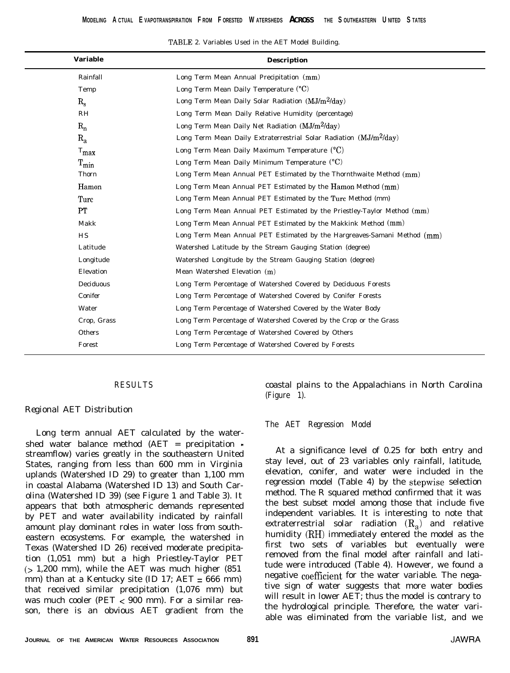| <b>Variable</b> | <b>Description</b>                                                             |
|-----------------|--------------------------------------------------------------------------------|
| Rainfall        | Long Term Mean Annual Precipitation (mm)                                       |
| Temp            | Long Term Mean Daily Temperature (°C)                                          |
| $R_{\rm s}$     | Long Term Mean Daily Solar Radiation (MJ/m <sup>2</sup> /day)                  |
| RH              | Long Term Mean Daily Relative Humidity (percentage)                            |
| $R_n$           | Long Term Mean Daily Net Radiation $(MJ/m^2/day)$                              |
| $R_{a}$         | Long Term Mean Daily Extraterrestrial Solar Radiation (MJ/m <sup>2</sup> /day) |
| $T_{max}$       | Long Term Mean Daily Maximum Temperature $(°C)$                                |
| $T_{\rm min}$   | Long Term Mean Daily Minimum Temperature (°C)                                  |
| Thorn           | Long Term Mean Annual PET Estimated by the Thornthwaite Method (mm)            |
| Hamon           | Long Term Mean Annual PET Estimated by the Hamon Method (mm)                   |
| Turc            | Long Term Mean Annual PET Estimated by the Turc Method (mm)                    |
| PT              | Long Term Mean Annual PET Estimated by the Priestley-Taylor Method (mm)        |
| Makk            | Long Term Mean Annual PET Estimated by the Makkink Method (mm)                 |
| <b>HS</b>       | Long Term Mean Annual PET Estimated by the Hargreaves-Samani Method (mm)       |
| Latitude        | Watershed Latitude by the Stream Gauging Station (degree)                      |
| Longitude       | Watershed Longitude by the Stream Gauging Station (degree)                     |
| Elevation       | Mean Watershed Elevation (m)                                                   |
| Deciduous       | Long Term Percentage of Watershed Covered by Deciduous Forests                 |
| Conifer         | Long Term Percentage of Watershed Covered by Conifer Forests                   |
| Water           | Long Term Percentage of Watershed Covered by the Water Body                    |
| Crop, Grass     | Long Term Percentage of Watershed Covered by the Crop or the Grass             |
| Others          | Long Term Percentage of Watershed Covered by Others                            |
| Forest          | Long Term Percentage of Watershed Covered by Forests                           |

#### TABLE 2. Variables Used in the AET Model Building.

## *Regional AET Distribution*

Long term annual AET calculated by the watershed water balance method  $(AET = precipitation$ streamflow) varies greatly in the southeastern United States, ranging from less than 600 mm in Virginia uplands (Watershed ID 29) to greater than 1,100 mm in coastal Alabama (Watershed ID 13) and South Carolina (Watershed ID 39) (see Figure 1 and Table 3). It appears that both atmospheric demands represented by PET and water availability indicated by rainfall amount play dominant roles in water loss from southeastern ecosystems. For example, the watershed in Texas (Watershed ID 26) received moderate precipitation (1,051 mm) but a high Priestley-Taylor PET  $(> 1,200$  mm), while the AET was much higher  $(851)$ mm) than at a Kentucky site (ID 17;  $AET = 666$  mm) that received similar precipitation (1,076 mm) but was much cooler (PET < 900 mm). For a similar reason, there is an obvious AET gradient from the

RESULTS coastal plains to the Appalachians in North Carolina (Figure 1).

## *The AET Regression Model*

At a significance level of 0.25 for both entry and stay level, out of 23 variables only rainfall, latitude, elevation, conifer, and water were included in the regression model (Table 4) by the stepwise selection method. The R squared method confirmed that it was the best subset model among those that include five independent variables. It is interesting to note that extraterrestrial solar radiation  $(R_a)$  and relative humidity (RH) immediately entered the model as the first two sets of variables but eventually were removed from the final model after rainfall and latitude were introduced (Table 4). However, we found a negative coefficient for the water variable. The negative sign of water suggests that more water bodies will result in lower AET; thus the model is contrary to the hydrological principle. Therefore, the water variable was eliminated from the variable list, and we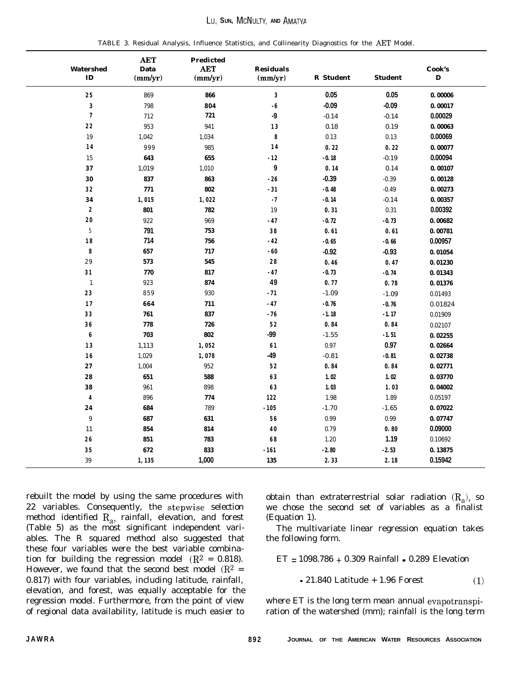## **Lu, SUN, MCNULTY, AND AMATYA**

| TABLE 3. Residual Analysis, Influence Statistics, and Collinearity Diagnostics for the AET Model. |  |  |
|---------------------------------------------------------------------------------------------------|--|--|
|---------------------------------------------------------------------------------------------------|--|--|

| Watershed<br>$\mathbf{ID}$ | <b>AET</b><br><b>Data</b><br>(mm/yr) | Predicted<br><b>AET</b><br>(mm/yr) | <b>Residuals</b><br>(mm/yr) | <b>R</b> Student | <b>Student</b> | Cook's<br>$\mathbf D$ |
|----------------------------|--------------------------------------|------------------------------------|-----------------------------|------------------|----------------|-----------------------|
| $\pmb{2}$ 5                | 869                                  | 866                                | $\bf{3}$                    | 0.05             | 0.05           | 0.00006               |
| $\boldsymbol{3}$           | 798                                  | 804                                | $\cdot$ 6                   | $-0.09$          | $-0.09$        | 0.00017               |
| $\pmb{7}$                  | 712                                  | 721                                | $\cdot$ 9                   | $-0.14$          | $-0.14$        | 0.00029               |
| 22                         | 953                                  | 941                                | 13                          | 0.18             | 0.19           | 0.00063               |
| 19                         | 1,042                                | 1,034                              | $\boldsymbol{8}$            | 0.13             | 0.13           | 0.00069               |
| 14                         | 999                                  | 985                                | 14                          | 0.22             | 0.22           | 0.00077               |
| 15                         | 643                                  | 655                                | $-12$                       | $-0.18$          | $-0.19$        | 0.00094               |
| 37                         | 1,019                                | 1,010                              | 9                           | 0.14             | 0.14           | 0.00107               |
| 30                         | 837                                  | 863                                | $-26$                       | $-0.39$          | $-0.39$        | 0.00128               |
| $\sqrt{3}$ 2               | 771                                  | 802                                | $-31$                       | $-0.48$          | $-0.49$        | 0.00273               |
| 34                         | 1,015                                | 1,022                              | $\cdot$ 7                   | $-0.14$          | $-0.14$        | 0.00357               |
| 2                          | 801                                  | 782                                | 19                          | 0.31             | 0.31           | 0.00392               |
| $\pmb{2}$ $\pmb{0}$        | 922                                  | 969                                | $-47$                       | $-0.72$          | $-0.73$        | 0.00682               |
| $\overline{5}$             | 791                                  | 753                                | $\bf 3 \, \bf 8$            | 0.61             | 0.61           | 0.00781               |
| $18$                       | 714                                  | 756                                | $-42$                       | $-0.65$          | $-0.66$        | 0.00957               |
| $\boldsymbol{8}$           | 657                                  | 717                                | $-60$                       | $-0.92$          | $-0.93$        | 0.01054               |
| $2\,9$                     | 573                                  | 545                                | 28                          | 0.46             | 0.47           | 0.01230               |
| 31                         | 770                                  | 817                                | $-47$                       | $-0.73$          | $-0.74$        | 0.01343               |
| $\overline{1}$             | 923                                  | 874                                | 49                          | 0.77             | 0.78           | 0.01376               |
| 23                         | 859                                  | 930                                | $-71$                       | $-1.09$          | $-1.09$        | 0.01493               |
| 17                         | 664                                  | 711                                | $-47$                       | $-0.76$          | $-0.76$        | 0.01824               |
| $\bf 3 \, 3$               | 761                                  | 837                                | $-76$                       | $-1.18$          | $-1.17$        | 0.01909               |
| $\bf 36$                   | 778                                  | 726                                | $\sqrt{5}$ 2                | 0.84             | 0.84           | 0.02107               |
| $\bf{6}$                   | 703                                  | 802                                | $-99$                       | $-1.55$          | $-1.51$        | 0.02255               |
| 13                         | 1,113                                | 1,052                              | 61                          | 0.97             | 0.97           | 0.02664               |
| 16                         | 1,029                                | 1,078                              | $-49$                       | $-0.81$          | $-0.81$        | 0.02738               |
| 27                         | 1,004                                | 952                                | 52                          | 0.84             | 0.84           | 0.02771               |
| 28                         | 651                                  | 588                                | 63                          | 1.02             | 1.02           | 0.03770               |
| ${\bf 38}$                 | 961                                  | 898                                | $\bf 63$                    | 1.03             | 1.03           | 0.04002               |
| $\boldsymbol{4}$           | 896                                  | 774                                | 122                         | 1.98             | 1.89           | 0.05197               |
| 24                         | 684                                  | 789                                | $-105$                      | $-1.70$          | $-1.65$        | 0.07022               |
| $\boldsymbol{9}$           | 687                                  | 631                                | 56                          | 0.99             | 0.99           | 0.07747               |
| 11                         | 854                                  | 814                                | 40                          | 0.79             | 0.80           | 0.09000               |
| 26                         | 851                                  | 783                                | $\bf 68$                    | 1.20             | 1.19           | 0.10692               |
| 35                         | 672                                  | 833                                | $-161$                      | $-2.80$          | $-2.53$        | 0.13875               |
| $39\,$                     | 1,135                                | 1,000                              | 135                         | 2.33             | 2.18           | 0.15942               |

rebuilt the model by using the same procedures with 22 variables. Consequently, the stepwise selection method identified  $R_a$ , rainfall, elevation, and forest (Table 5) as the most significant independent variables. The R squared method also suggested that these four variables were the best variable combination for building the regression model ( $\mathbb{R}^2 = 0.818$ ). However, we found that the second best model ( $\mathbb{R}^2$  = 0.817) with four variables, including latitude, rainfall, elevation, and forest, was equally acceptable for the regression model. Furthermore, from the point of view of regional data availability, latitude is much easier to

obtain than extraterrestrial solar radiation  $(R_a)$ , so we chose the second set of variables as a finalist (Equation 1).

The multivariate linear regression equation takes the following form.

 $ET = 1098.786 + 0.309$  Rainfall  $\cdot$  0.289 Elevation

- 21.840 Latitude + 1.96 Forest (1)

where ET is the long term mean annual evapotranspiration of the watershed (mm); rainfall is the long term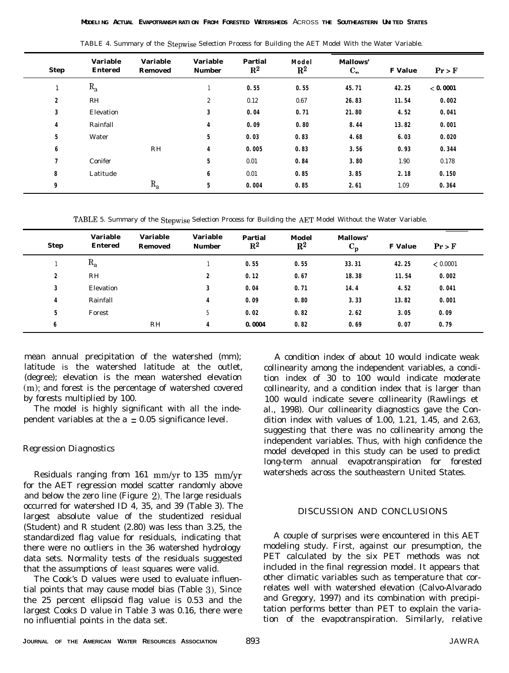| <b>Step</b>  | <b>Variable</b><br><b>Entered</b> | <b>Variable</b><br><b>Removed</b> | <b>Variable</b><br><b>Number</b> | <b>Partial</b><br>$\mathbf{R}^2$ | Model<br>$\mathbf{R}^2$ | Mallows'<br>$C_n$ | <b>F</b> Value | Pr > F   |
|--------------|-----------------------------------|-----------------------------------|----------------------------------|----------------------------------|-------------------------|-------------------|----------------|----------|
|              | $R_{a}$                           |                                   |                                  | 0.55                             | 0.55                    | 45.71             | 42.25          | < 0.0001 |
| 2            | RH                                |                                   | $\boldsymbol{2}$                 | 0.12                             | 0.67                    | 26.83             | 11.54          | 0.002    |
| $\bf{3}$     | Elevation                         |                                   | $\bf{3}$                         | 0.04                             | 0.71                    | 21.80             | 4.52           | 0.041    |
| 4            | Rainfall                          |                                   | 4                                | 0.09                             | 0.80                    | 8.44              | 13.82          | 0.001    |
| $\mathbf{5}$ | Water                             |                                   | $\mathbf{5}$                     | 0.03                             | 0.83                    | 4.68              | 6.03           | 0.020    |
| 6            |                                   | RH                                | $\overline{\mathbf{4}}$          | 0.005                            | 0.83                    | 3.56              | 0.93           | 0.344    |
| 7            | Conifer                           |                                   | 5                                | 0.01                             | 0.84                    | 3.80              | 1.90           | 0.178    |
| 8            | Latitude                          |                                   | 6                                | 0.01                             | 0.85                    | 3.85              | 2.18           | 0.150    |
| 9            |                                   | $R_{a}$                           | 5                                | 0.004                            | 0.85                    | 2.61              | 1.09           | 0.364    |

TABLE 4. Summary of the Stepwise Selection Process for Building the AET Model With the Water Variable.

TABLE 5. Summary of the Stepwise Selection Process for Building the AET Model Without the Water Variable.

| <b>Step</b> | <b>Variable</b><br><b>Entered</b> | <b>Variable</b><br><b>Removed</b> | <b>Variable</b><br><b>Number</b> | <b>Partial</b><br>$\mathbb{R}^2$ | Model<br>$\mathbf{R}^2$ | Mallows'<br>$C_p$ | <b>F</b> Value | Pr > F   |
|-------------|-----------------------------------|-----------------------------------|----------------------------------|----------------------------------|-------------------------|-------------------|----------------|----------|
|             | $R_{a}$                           |                                   |                                  | 0.55                             | 0.55                    | 33.31             | 42.25          | < 0.0001 |
| 2           | R <sub>H</sub>                    |                                   | 2                                | 0.12                             | 0.67                    | 18.38             | 11.54          | 0.002    |
| 3           | Elevation                         |                                   | 3                                | 0.04                             | 0.71                    | 14.4              | 4.52           | 0.041    |
| 4           | Rainfall                          |                                   | 4                                | 0.09                             | 0.80                    | 3.33              | 13.82          | 0.001    |
| 5           | Forest                            |                                   |                                  | 0.02                             | 0.82                    | 2.62              | 3.05           | 0.09     |
| 6           |                                   | RH                                |                                  | 0.0004                           | 0.82                    | 0.69              | 0.07           | 0.79     |

mean annual precipitation of the watershed (mm); latitude is the watershed latitude at the outlet, (degree); elevation is the mean watershed elevation  $(m)$ ; and forest is the percentage of watershed covered by forests multiplied by 100.

The model is highly significant with all the independent variables at the  $a = 0.05$  significance level.

### *Regression Diagnostics*

Residuals ranging from 161 mm/yr to 135 mm/yr for the AET regression model scatter randomly above and below the zero line (Figure 2). The large residuals occurred for watershed ID 4, 35, and 39 (Table 3). The largest absolute value of the studentized residual (Student) and R student (2.80) was less than 3.25, the standardized flag value for residuals, indicating that there were no outliers in the 36 watershed hydrology data sets. Normality tests of the residuals suggested that the assumptions of least squares were valid.

The Cook's D values were used to evaluate influential points that may cause model bias (Table 3). Since the 25 percent ellipsoid flag value is 0.53 and the largest Cooks D value in Table 3 was 0.16, there were no influential points in the data set.

A condition index of about 10 would indicate weak collinearity among the independent variables, a condition index of 30 to 100 would indicate moderate collinearity, and a condition index that is larger than 100 would indicate severe collinearity (Rawlings et *al.,* 1998). Our collinearity diagnostics gave the Condition index with values of 1.00, 1.21, 1.45, and 2.63, suggesting that there was no collinearity among the independent variables. Thus, with high confidence the model developed in this study can be used to predict long-term annual evapotranspiration for forested watersheds across the southeastern United States.

#### DISCUSSION AND CONCLUSIONS

A couple of surprises were encountered in this AET modeling study. First, against our presumption, the PET calculated by the six PET methods was not included in the final regression model. It appears that other climatic variables such as temperature that correlates well with watershed elevation (Calvo-Alvarado and Gregory, 1997) and its combination with precipitation performs better than PET to explain the variation of the evapotranspiration. Similarly, relative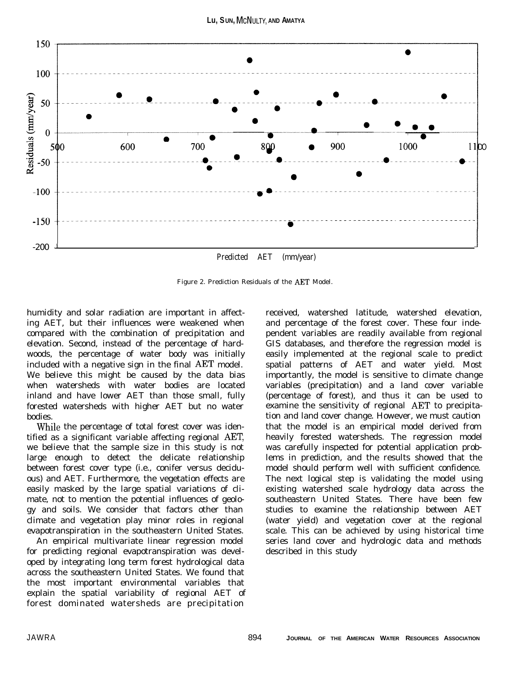

Figure 2. Prediction Residuals of the AET Model.

humidity and solar radiation are important in affecting AET, but their influences were weakened when compared with the combination of precipitation and elevation. Second, instead of the percentage of hardwoods, the percentage of water body was initially included with a negative sign in the final AFT model. We believe this might be caused by the data bias when watersheds with water bodies are located inland and have lower AET than those small, fully forested watersheds with higher AET but no water bodies.

While the percentage of total forest cover was identified as a significant variable affecting regional AFT, we believe that the sample size in this study is not large enough to detect the delicate relationship between forest cover type (i.e., conifer versus deciduous) and AET. Furthermore, the vegetation effects are easily masked by the large spatial variations of climate, not to mention the potential influences of geology and soils. We consider that factors other than climate and vegetation play minor roles in regional evapotranspiration in the southeastern United States.

An empirical multivariate linear regression model for predicting regional evapotranspiration was developed by integrating long term forest hydrological data across the southeastern United States. We found that the most important environmental variables that explain the spatial variability of regional AET of forest dominated watersheds are precipitation

received, watershed latitude, watershed elevation, and percentage of the forest cover. These four independent variables are readily available from regional GIS databases, and therefore the regression model is easily implemented at the regional scale to predict spatial patterns of AET and water yield. Most importantly, the model is sensitive to climate change variables (precipitation) and a land cover variable (percentage of forest), and thus it can be used to examine the sensitivity of regional AFT to precipitation and land cover change. However, we must caution that the model is an empirical model derived from heavily forested watersheds. The regression model was carefully inspected for potential application problems in prediction, and the results showed that the model should perform well with sufficient confidence. The next logical step is validating the model using existing watershed scale hydrology data across the southeastern United States. There have been few studies to examine the relationship between AET (water yield) and vegetation cover at the regional scale. This can be achieved by using historical time series land cover and hydrologic data and methods described in this study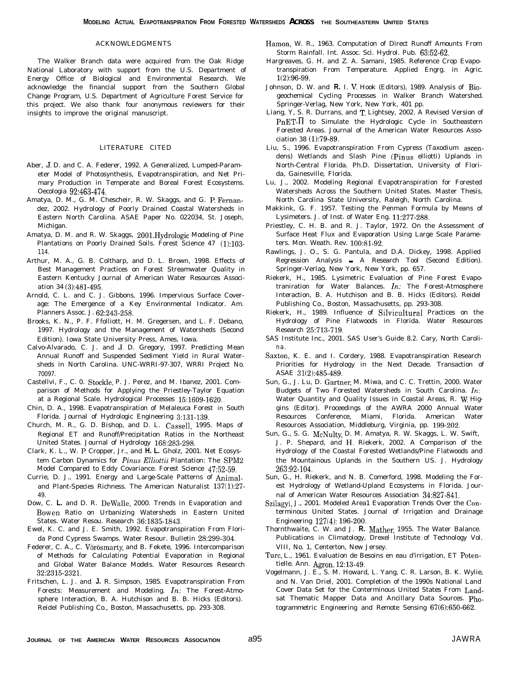#### ACKNOWLEDGMENTS

The Walker Branch data were acquired from the Oak Ridge National Laboratory with support from the U.S. Department of Energy Office of Biological and Environmental Research. We acknowledge the financial support from the Southern Global Change Program, U.S. Department of Agriculture Forest Service for this project. We also thank four anonymous reviewers for their insights to improve the original manuscript.

#### LITERATURE CITED

- Aber, J. D. and C. A. Federer, 1992. A Generalized, Lumped-Parameter Model of Photosynthesis, Evapotranspiration, and Net Primary Production in Temperate and Boreal Forest Ecosystems. Oecologia 92:463-474.
- Amatya, D. M., G. M. Chescheir, R. W. Skaggs, and G. P. Fernandez, 2002. Hydrology of Poorly Drained Coastal Watersheds in Eastern North Carolina. ASAE Paper No. 022034, St. Joseph, Michigan.
- Amatya, D. M. and R. W. Skaggs, 2001.Hydrologic Modeling of Pine Plantations on Poorly Drained Soils. Forest Science 47 (1):103- 114.
- Arthur, M. A., G. B. Coltharp, and D. L. Brown, 1998. Effects of Best Management Practices on Forest Streamwater Quality in Eastern Kentucky Journal of American Water Resources Association 34 (3):481-495.
- Arnold, C. L. and C. J. Gibbons, 1996. Impervious Surface Coverage: The Emergence of a Key Environmental Indicator. Am. Planners Assoc. J. 62:243-258.
- Brooks, K. N., P. F. Ffolliott, H. M. Gregersen, and L. F. Debano, 1997. Hydrology and the Management of Watersheds (Second Edition). Iowa State University Press, Ames, Iowa.
- Calvo-Alvarado, C. J. and **J.** D. Gregory, 1997. Predicting Mean Annual Runoff and Suspended Sediment Yield in Rural Watersheds in North Carolina. UNC-WRRI-97-307, WRRI Project No. 70097.
- Castellvi, F., C. 0. Stockle, P. J. Perez, and M. Ibanez, 2001. Comparison of Methods for Applying the Priestley-Taylor Equation at a Regional Scale. Hydrological Processes 15:1609-1620.
- Chin, D. A., 1998. Evapotranspiration of Melaleuca Forest in South Florida. Journal of Hydrologic Engineering 3:131-139.
- Church, M. R., G. D. Bishop, and D. L. Cassell, 1995. Maps of Regional ET and Runoff/Precipitation Ratios in the Northeast United States. Journal of Hydrology 168:283-298.
- Clark, K. L., W. P. Cropper, Jr., and **H. L.** Gholz, 2001. Net Ecosystem Carbon Dynamics for Pinus Elliottii Plantation: The SPM2 Model Compared to Eddy Covariance. Forest Science 47:52-59.
- Currie, D. J., 1991. Energy and Large-Scale Patterns of Animaland Plant-Species Richness. The American Naturalist 137(1):27- 49.
- Dow, C. **L.** and D. R. DeWalle, 2000. Trends in Evaporation and Bowen Ratio on Urbanizing Watersheds in Eastern United States. Water Resou. Research 36:1835-1843.
- Ewel, K. C. and J. E. Smith, 1992. Evapotranspiration From Florida Pond Cypress Swamps. Water Resour. Bulletin 28:299-304.
- Federer, C. A., C. Vörösmarty, and B. Fekete, 1996. Intercomparison of Methods for Calculating Potential Evaporation in Regional and Global Water Balance Models. Water Resources Research 32:2315-2321.
- Fritschen, L. J. and **J.** R. Simpson, 1985. Evapotranspiration From Forests: Measurement and Modeling. In: The Forest-Atmosphere Interaction, B. A. Hutchison and B. B. Hicks (Editors). Reidel Publishing Co., Boston, Massachusetts, pp. 293-308.
- Hamon, W. R., 1963. Computation of Direct Runoff Amounts From Storm Rainfall. Int. Assoc. Sci. Hydrol. Pub. 63:52-62.
- Hargreaves, G. H. and Z. A. Samani, 1985. Reference Crop Evapotranspiration From Temperature. Applied Engrg. in Agric. 1(2):96-99.
- Johnson, D. W. and **R.** I. V. Hook (Editors), 1989. Analysis of Biogeochemical Cycling Processes in Walker Branch Watershed. Springer-Verlag, New York, New York, 401 pp.
- Liang, Y, S. R. Durrans, and T. Lightsey, 2002. A Revised Version of PnET-II to Simulate the Hydrologic Cycle in Southeastern Forested Areas. Journal of the American Water Resources Association 38 (1):79-89.
- Liu, S., 1996. Evapotranspiration From Cypress (Taxodium ascendens) Wetlands and Slash Pine (Pinus elliotti) Uplands in North-Central Florida. Ph.D. Dissertation, University of Florida, Gainesville, Florida.
- Lu, J., 2002. Modeling Regional Evapotranspiration for Forested Watersheds Across the Southern United States. Master Thesis, North Carolina State University, Raleigh, North Carolina.
- Makkink, G. F. 1957. Testing the Penman Formula by Means of Lysimeters. J. of Inst. of Water Eng. 11:277-288.
- Priestley, C. H. B. and R. J. Taylor, 1972. On the Assessment of Surface Heat Flux and Evaporation Using Large Scale Parameters. Mon. Weath. Rev. 100:81-92.
- Rawlings, J. O., S. G. Pantula, and D.A. Dickey, 1998. Applied Regression Analysis - A Research Tool (Second Edition). Springer-Verlag, New York, New York, pp. 657.
- Riekerk, H., 1985. Lysimetric Evaluation of Pine Forest Evapotraniration for Water Balances. *In:* The Forest-Atmosphere Interaction, B. A. Hutchison and B. B. Hicks (Editors). Reidel Publishing Co., Boston, Massachusetts, pp. 293-308.
- Riekerk, H., 1989. Influence of Silvicultural Practices on the Hydrology of Pine Flatwoods in Florida. Water Resources Research 25:713-719.
- SAS Institute Inc., 2001. SAS User's Guide 8.2. Cary, North Carolina.
- Saxton, K. E. and I. Cordery, 1988. Evapotranspiration Research Priorities for Hydrology in the Next Decade. Transaction of ASAE 31(2):485-489.
- Sun, G., J. Lu, D. Gartner, M. Miwa, and C. C. Trettin, 2000. Water Budgets of Two Forested Watersheds in South Carolina. *In:* Water Quantity and Quality Issues in Coastal Areas, R. W. Higgins (Editor). Proceedings of the AWRA 2000 Annual Water Resources Conference, Miami, Florida. American Water Resources Association, Middleburg, Virginia, pp. 199-202.
- Sun, G., S. G. McNulty, D. M. Amatya, R. W. Skaggs, L. W. Swift, J. P. Shepard, and II. Riekerk, 2002. A Comparison of the Hydrology of the Coastal Forested Wetlands/Pine Flatwoods and the Mountainous Uplands in the Southern US. J. Hydrology 263:92-104.
- Sun, G., H. Riekerk, and N. B. Comerford, 1998. Modeling the Forest Hydrology of Wetland-Upland Ecosystems in Florida. Journal of American Water Resources Association 34:827-841.
- Szilagyi, J., 2001. Modeled Area1 Evaporation Trends Over the Conterminous United States. Journal of Irrigation and Drainage Engineering 127(4): 196-200.
- Thornthwaite, C. W. and J. **R.** Mather, 1955. The Water Balance. Publications in Climatology, Drexel Institute of Technology Vol. VIII, No. 1, Centerton, New Jersey.
- Turc, L., 1961. Evaluation de Besoins en eau d'irrigation, ET Potentielle. Ann. Agron. 12:13-49.
- Vogelmann, J. E., S. M. Howard, L. Yang, C. R. Larson, B. K. Wylie, and N. Van Driel, 2001. Completion of the 1990s National Land Cover Data Set for the Conterminous United States From Landsat Thematic Mapper Data and Ancillary Data Sources. Photogrammetric Engineering and Remote Sensing 67(6):650-662.